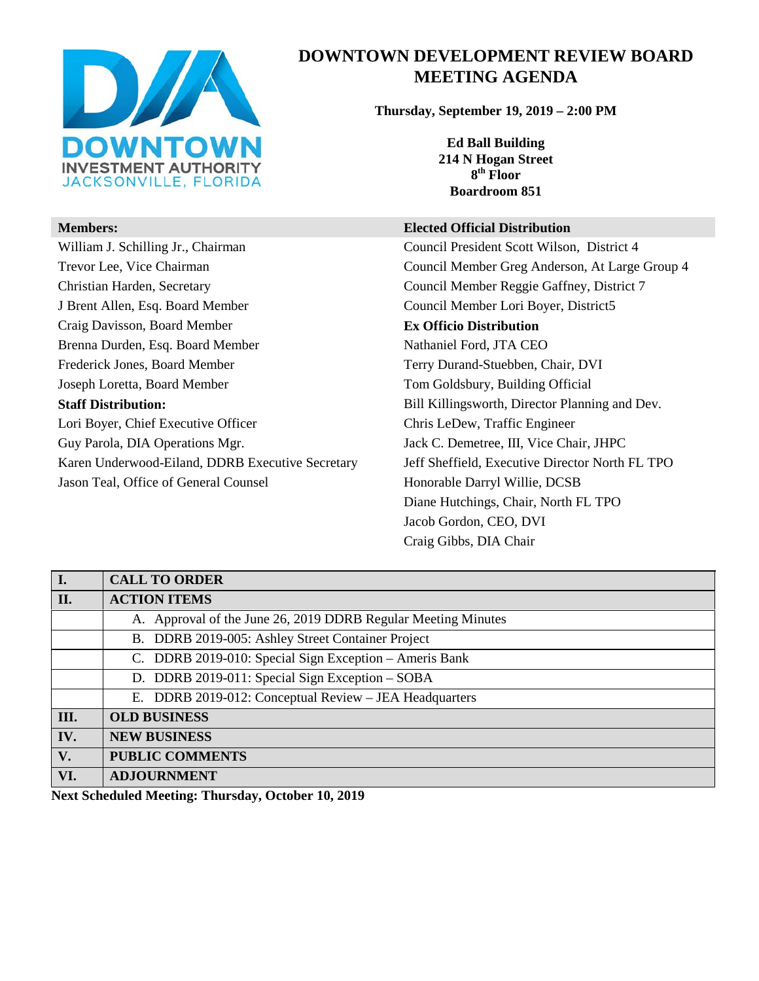

William J. Schilling Jr., Chairman Council President Scott Wilson, District 4 Trevor Lee, Vice Chairman Council Member Greg Anderson, At Large Group 4 Christian Harden, Secretary Council Member Reggie Gaffney, District 7 J Brent Allen, Esq. Board Member Council Member Lori Boyer, District5 Craig Davisson, Board Member **Ex Officio Distribution** Brenna Durden, Esq. Board Member Nathaniel Ford, JTA CEO Frederick Jones, Board Member Terry Durand-Stuebben, Chair, DVI Joseph Loretta, Board Member Tom Goldsbury, Building Official **Staff Distribution:** Bill Killingsworth, Director Planning and Dev. Lori Boyer, Chief Executive Officer Chris LeDew, Traffic Engineer Guy Parola, DIA Operations Mgr. Jack C. Demetree, III, Vice Chair, JHPC Karen Underwood-Eiland, DDRB Executive Secretary Jeff Sheffield, Executive Director North FL TPO Jason Teal, Office of General Counsel **Honorable Darryl Willie, DCSB** 

# **DOWNTOWN DEVELOPMENT REVIEW BOARD MEETING AGENDA**

**Thursday, September 19, 2019 – 2:00 PM**

**Ed Ball Building 214 N Hogan Street 8th Floor Boardroom 851**

#### **Members: Elected Official Distribution**

Diane Hutchings, Chair, North FL TPO Jacob Gordon, CEO, DVI Craig Gibbs, DIA Chair

| I.   | <b>CALL TO ORDER</b>                                          |
|------|---------------------------------------------------------------|
| II.  | <b>ACTION ITEMS</b>                                           |
|      | A. Approval of the June 26, 2019 DDRB Regular Meeting Minutes |
|      | B. DDRB 2019-005: Ashley Street Container Project             |
|      | C. DDRB 2019-010: Special Sign Exception - Ameris Bank        |
|      | D. DDRB 2019-011: Special Sign Exception – SOBA               |
|      | E. DDRB 2019-012: Conceptual Review - JEA Headquarters        |
| III. | <b>OLD BUSINESS</b>                                           |
| IV.  | <b>NEW BUSINESS</b>                                           |
| V.   | <b>PUBLIC COMMENTS</b>                                        |
| VI.  | <b>ADJOURNMENT</b>                                            |

**Next Scheduled Meeting: Thursday, October 10, 2019**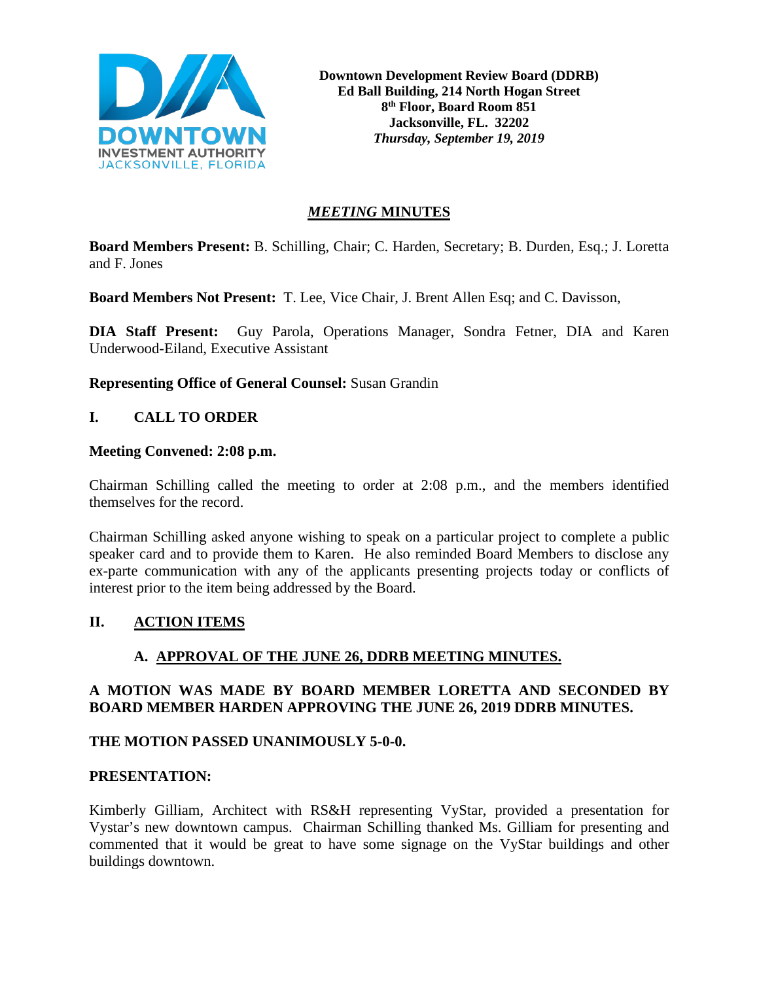

# *MEETING* **MINUTES**

**Board Members Present:** B. Schilling, Chair; C. Harden, Secretary; B. Durden, Esq.; J. Loretta and F. Jones

**Board Members Not Present:** T. Lee, Vice Chair, J. Brent Allen Esq; and C. Davisson,

**DIA Staff Present:** Guy Parola, Operations Manager, Sondra Fetner, DIA and Karen Underwood-Eiland, Executive Assistant

**Representing Office of General Counsel:** Susan Grandin

# **I. CALL TO ORDER**

#### **Meeting Convened: 2:08 p.m.**

Chairman Schilling called the meeting to order at 2:08 p.m., and the members identified themselves for the record.

Chairman Schilling asked anyone wishing to speak on a particular project to complete a public speaker card and to provide them to Karen. He also reminded Board Members to disclose any ex-parte communication with any of the applicants presenting projects today or conflicts of interest prior to the item being addressed by the Board.

# **II. ACTION ITEMS**

# **A. APPROVAL OF THE JUNE 26, DDRB MEETING MINUTES.**

# **A MOTION WAS MADE BY BOARD MEMBER LORETTA AND SECONDED BY BOARD MEMBER HARDEN APPROVING THE JUNE 26, 2019 DDRB MINUTES.**

#### **THE MOTION PASSED UNANIMOUSLY 5-0-0.**

# **PRESENTATION:**

Kimberly Gilliam, Architect with RS&H representing VyStar, provided a presentation for Vystar's new downtown campus. Chairman Schilling thanked Ms. Gilliam for presenting and commented that it would be great to have some signage on the VyStar buildings and other buildings downtown.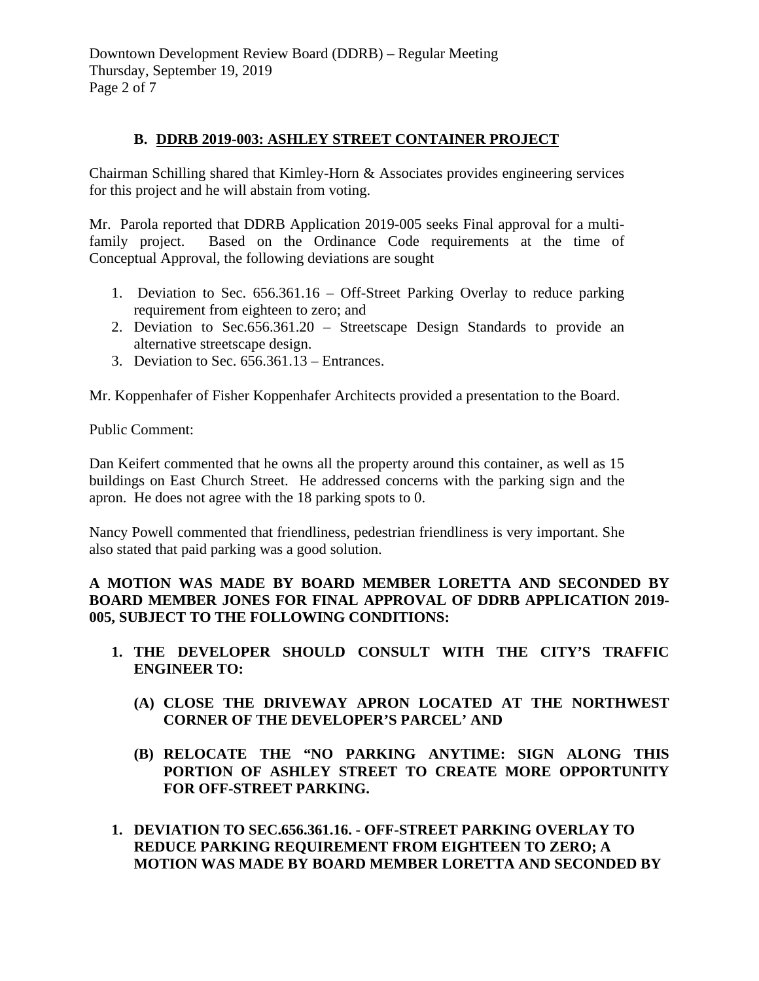Downtown Development Review Board (DDRB) – Regular Meeting Thursday, September 19, 2019 Page 2 of 7

#### **B. DDRB 2019-003: ASHLEY STREET CONTAINER PROJECT**

Chairman Schilling shared that Kimley-Horn & Associates provides engineering services for this project and he will abstain from voting.

Mr. Parola reported that DDRB Application 2019-005 seeks Final approval for a multifamily project. Based on the Ordinance Code requirements at the time of Conceptual Approval, the following deviations are sought

- 1. Deviation to Sec. 656.361.16 Off-Street Parking Overlay to reduce parking requirement from eighteen to zero; and
- 2. Deviation to Sec.656.361.20 Streetscape Design Standards to provide an alternative streetscape design.
- 3. Deviation to Sec. 656.361.13 Entrances.

Mr. Koppenhafer of Fisher Koppenhafer Architects provided a presentation to the Board.

Public Comment:

Dan Keifert commented that he owns all the property around this container, as well as 15 buildings on East Church Street. He addressed concerns with the parking sign and the apron. He does not agree with the 18 parking spots to 0.

Nancy Powell commented that friendliness, pedestrian friendliness is very important. She also stated that paid parking was a good solution.

# **A MOTION WAS MADE BY BOARD MEMBER LORETTA AND SECONDED BY BOARD MEMBER JONES FOR FINAL APPROVAL OF DDRB APPLICATION 2019- 005, SUBJECT TO THE FOLLOWING CONDITIONS:**

- **1. THE DEVELOPER SHOULD CONSULT WITH THE CITY'S TRAFFIC ENGINEER TO:**
	- **(A) CLOSE THE DRIVEWAY APRON LOCATED AT THE NORTHWEST CORNER OF THE DEVELOPER'S PARCEL' AND**
	- **(B) RELOCATE THE "NO PARKING ANYTIME: SIGN ALONG THIS PORTION OF ASHLEY STREET TO CREATE MORE OPPORTUNITY FOR OFF-STREET PARKING.**
- **1. DEVIATION TO SEC.656.361.16. - OFF-STREET PARKING OVERLAY TO REDUCE PARKING REQUIREMENT FROM EIGHTEEN TO ZERO; A MOTION WAS MADE BY BOARD MEMBER LORETTA AND SECONDED BY**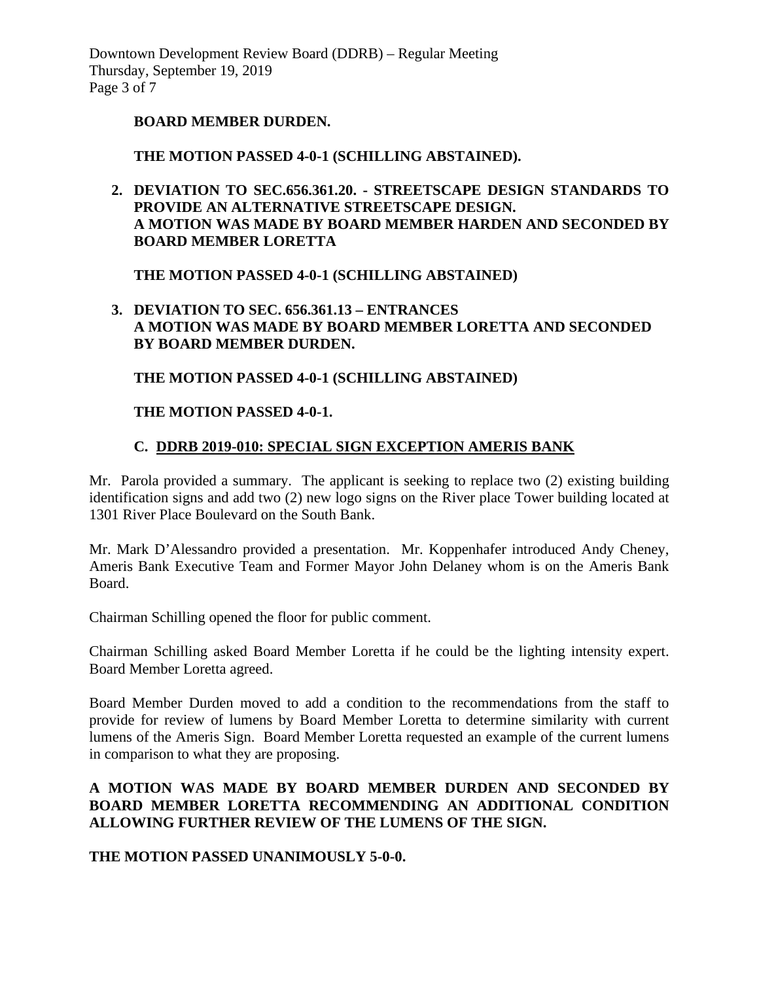Downtown Development Review Board (DDRB) – Regular Meeting Thursday, September 19, 2019 Page 3 of 7

#### **BOARD MEMBER DURDEN.**

#### **THE MOTION PASSED 4-0-1 (SCHILLING ABSTAINED).**

**2. DEVIATION TO SEC.656.361.20. - STREETSCAPE DESIGN STANDARDS TO PROVIDE AN ALTERNATIVE STREETSCAPE DESIGN. A MOTION WAS MADE BY BOARD MEMBER HARDEN AND SECONDED BY BOARD MEMBER LORETTA**

**THE MOTION PASSED 4-0-1 (SCHILLING ABSTAINED)** 

**3. DEVIATION TO SEC. 656.361.13 – ENTRANCES A MOTION WAS MADE BY BOARD MEMBER LORETTA AND SECONDED BY BOARD MEMBER DURDEN.**

**THE MOTION PASSED 4-0-1 (SCHILLING ABSTAINED)** 

#### **THE MOTION PASSED 4-0-1.**

#### **C. DDRB 2019-010: SPECIAL SIGN EXCEPTION AMERIS BANK**

Mr. Parola provided a summary. The applicant is seeking to replace two (2) existing building identification signs and add two (2) new logo signs on the River place Tower building located at 1301 River Place Boulevard on the South Bank.

Mr. Mark D'Alessandro provided a presentation. Mr. Koppenhafer introduced Andy Cheney, Ameris Bank Executive Team and Former Mayor John Delaney whom is on the Ameris Bank Board.

Chairman Schilling opened the floor for public comment.

Chairman Schilling asked Board Member Loretta if he could be the lighting intensity expert. Board Member Loretta agreed.

Board Member Durden moved to add a condition to the recommendations from the staff to provide for review of lumens by Board Member Loretta to determine similarity with current lumens of the Ameris Sign. Board Member Loretta requested an example of the current lumens in comparison to what they are proposing.

#### **A MOTION WAS MADE BY BOARD MEMBER DURDEN AND SECONDED BY BOARD MEMBER LORETTA RECOMMENDING AN ADDITIONAL CONDITION ALLOWING FURTHER REVIEW OF THE LUMENS OF THE SIGN.**

**THE MOTION PASSED UNANIMOUSLY 5-0-0.**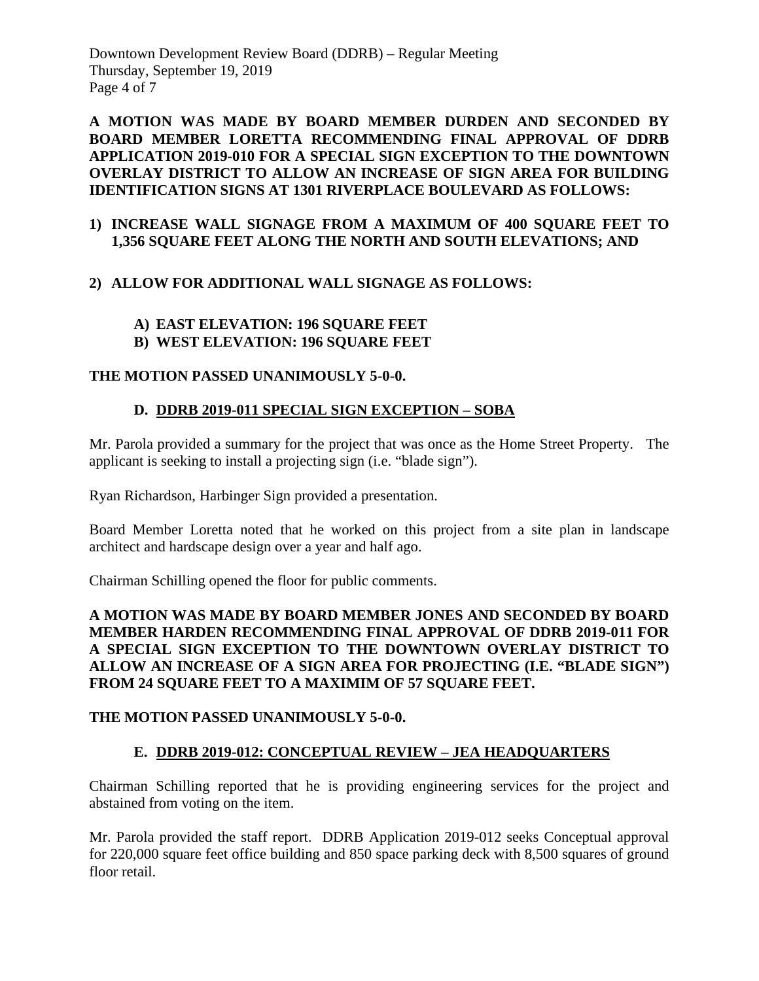Downtown Development Review Board (DDRB) – Regular Meeting Thursday, September 19, 2019 Page 4 of 7

**A MOTION WAS MADE BY BOARD MEMBER DURDEN AND SECONDED BY BOARD MEMBER LORETTA RECOMMENDING FINAL APPROVAL OF DDRB APPLICATION 2019-010 FOR A SPECIAL SIGN EXCEPTION TO THE DOWNTOWN OVERLAY DISTRICT TO ALLOW AN INCREASE OF SIGN AREA FOR BUILDING IDENTIFICATION SIGNS AT 1301 RIVERPLACE BOULEVARD AS FOLLOWS:**

#### **1) INCREASE WALL SIGNAGE FROM A MAXIMUM OF 400 SQUARE FEET TO 1,356 SQUARE FEET ALONG THE NORTH AND SOUTH ELEVATIONS; AND**

# **2) ALLOW FOR ADDITIONAL WALL SIGNAGE AS FOLLOWS:**

# **A) EAST ELEVATION: 196 SQUARE FEET**

**B) WEST ELEVATION: 196 SQUARE FEET**

# **THE MOTION PASSED UNANIMOUSLY 5-0-0.**

# **D. DDRB 2019-011 SPECIAL SIGN EXCEPTION – SOBA**

Mr. Parola provided a summary for the project that was once as the Home Street Property. The applicant is seeking to install a projecting sign (i.e. "blade sign").

Ryan Richardson, Harbinger Sign provided a presentation.

Board Member Loretta noted that he worked on this project from a site plan in landscape architect and hardscape design over a year and half ago.

Chairman Schilling opened the floor for public comments.

# **A MOTION WAS MADE BY BOARD MEMBER JONES AND SECONDED BY BOARD MEMBER HARDEN RECOMMENDING FINAL APPROVAL OF DDRB 2019-011 FOR A SPECIAL SIGN EXCEPTION TO THE DOWNTOWN OVERLAY DISTRICT TO ALLOW AN INCREASE OF A SIGN AREA FOR PROJECTING (I.E. "BLADE SIGN") FROM 24 SQUARE FEET TO A MAXIMIM OF 57 SQUARE FEET.**

# **THE MOTION PASSED UNANIMOUSLY 5-0-0.**

# **E. DDRB 2019-012: CONCEPTUAL REVIEW – JEA HEADQUARTERS**

Chairman Schilling reported that he is providing engineering services for the project and abstained from voting on the item.

Mr. Parola provided the staff report. DDRB Application 2019-012 seeks Conceptual approval for 220,000 square feet office building and 850 space parking deck with 8,500 squares of ground floor retail.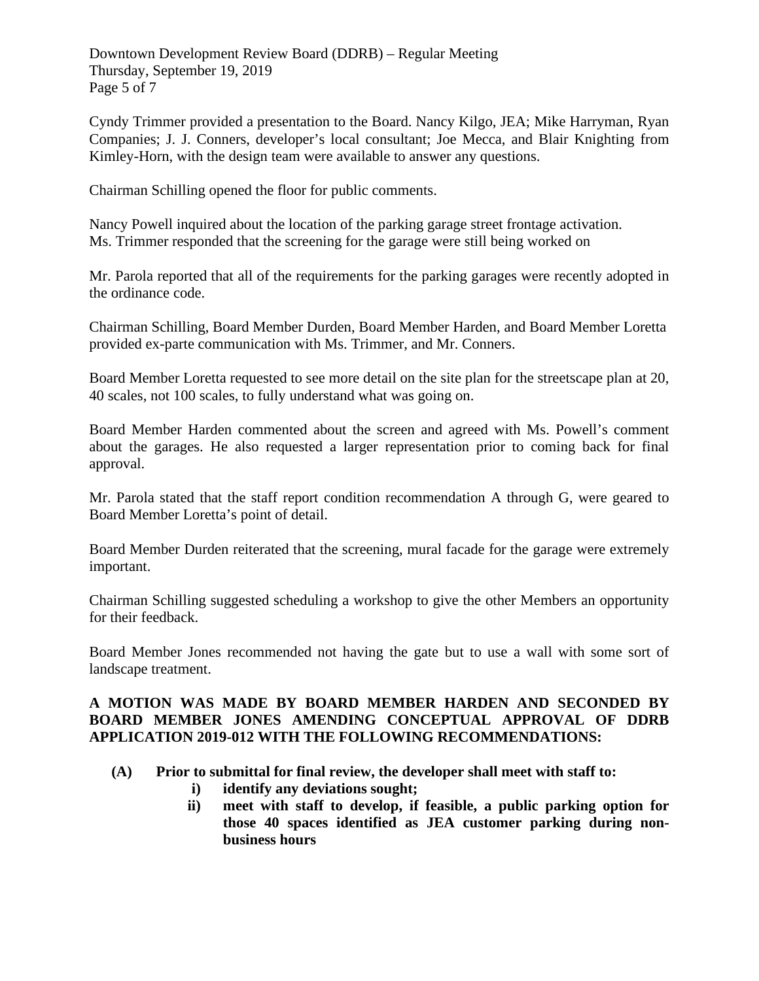Downtown Development Review Board (DDRB) – Regular Meeting Thursday, September 19, 2019 Page 5 of 7

Cyndy Trimmer provided a presentation to the Board. Nancy Kilgo, JEA; Mike Harryman, Ryan Companies; J. J. Conners, developer's local consultant; Joe Mecca, and Blair Knighting from Kimley-Horn, with the design team were available to answer any questions.

Chairman Schilling opened the floor for public comments.

Nancy Powell inquired about the location of the parking garage street frontage activation. Ms. Trimmer responded that the screening for the garage were still being worked on

Mr. Parola reported that all of the requirements for the parking garages were recently adopted in the ordinance code.

Chairman Schilling, Board Member Durden, Board Member Harden, and Board Member Loretta provided ex-parte communication with Ms. Trimmer, and Mr. Conners.

Board Member Loretta requested to see more detail on the site plan for the streetscape plan at 20, 40 scales, not 100 scales, to fully understand what was going on.

Board Member Harden commented about the screen and agreed with Ms. Powell's comment about the garages. He also requested a larger representation prior to coming back for final approval.

Mr. Parola stated that the staff report condition recommendation A through G, were geared to Board Member Loretta's point of detail.

Board Member Durden reiterated that the screening, mural facade for the garage were extremely important.

Chairman Schilling suggested scheduling a workshop to give the other Members an opportunity for their feedback.

Board Member Jones recommended not having the gate but to use a wall with some sort of landscape treatment.

#### **A MOTION WAS MADE BY BOARD MEMBER HARDEN AND SECONDED BY BOARD MEMBER JONES AMENDING CONCEPTUAL APPROVAL OF DDRB APPLICATION 2019-012 WITH THE FOLLOWING RECOMMENDATIONS:**

- **(A) Prior to submittal for final review, the developer shall meet with staff to:** 
	- **i) identify any deviations sought;**
	- **ii) meet with staff to develop, if feasible, a public parking option for those 40 spaces identified as JEA customer parking during nonbusiness hours**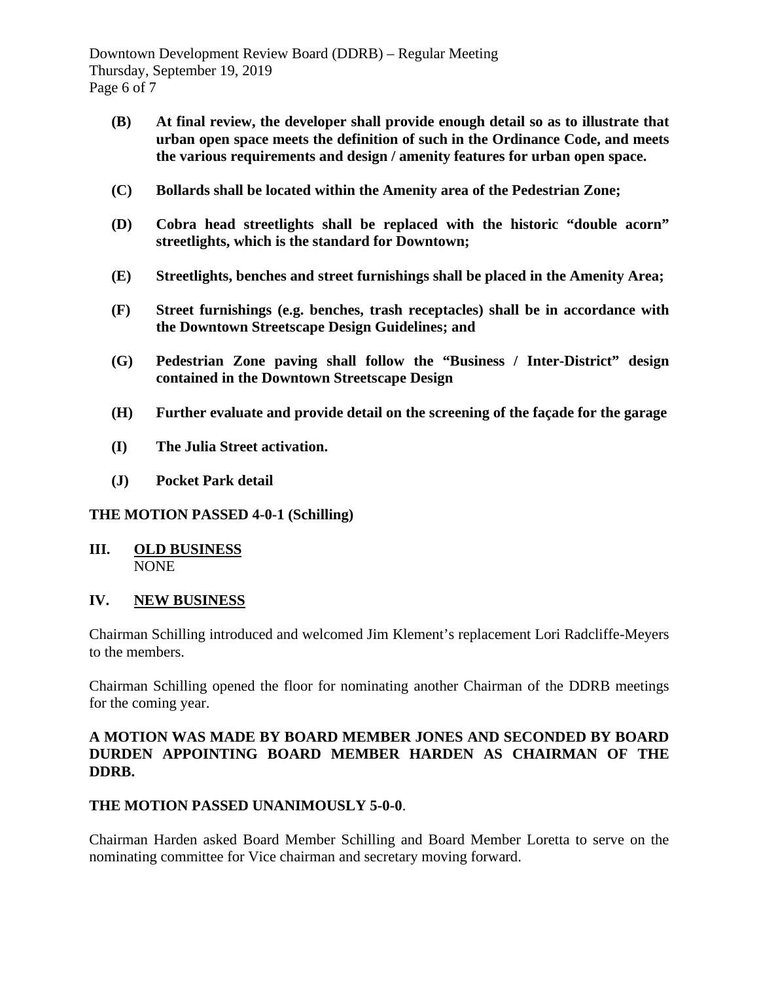Downtown Development Review Board (DDRB) – Regular Meeting Thursday, September 19, 2019 Page 6 of 7

- **(B) At final review, the developer shall provide enough detail so as to illustrate that urban open space meets the definition of such in the Ordinance Code, and meets the various requirements and design / amenity features for urban open space.**
- **(C) Bollards shall be located within the Amenity area of the Pedestrian Zone;**
- **(D) Cobra head streetlights shall be replaced with the historic "double acorn" streetlights, which is the standard for Downtown;**
- **(E) Streetlights, benches and street furnishings shall be placed in the Amenity Area;**
- **(F) Street furnishings (e.g. benches, trash receptacles) shall be in accordance with the Downtown Streetscape Design Guidelines; and**
- **(G) Pedestrian Zone paving shall follow the "Business / Inter-District" design contained in the Downtown Streetscape Design**
- **(H) Further evaluate and provide detail on the screening of the façade for the garage**
- **(I) The Julia Street activation.**
- **(J) Pocket Park detail**

# **THE MOTION PASSED 4-0-1 (Schilling)**

**III. OLD BUSINESS** NONE

#### **IV. NEW BUSINESS**

Chairman Schilling introduced and welcomed Jim Klement's replacement Lori Radcliffe-Meyers to the members.

Chairman Schilling opened the floor for nominating another Chairman of the DDRB meetings for the coming year.

#### **A MOTION WAS MADE BY BOARD MEMBER JONES AND SECONDED BY BOARD DURDEN APPOINTING BOARD MEMBER HARDEN AS CHAIRMAN OF THE DDRB.**

# **THE MOTION PASSED UNANIMOUSLY 5-0-0**.

Chairman Harden asked Board Member Schilling and Board Member Loretta to serve on the nominating committee for Vice chairman and secretary moving forward.